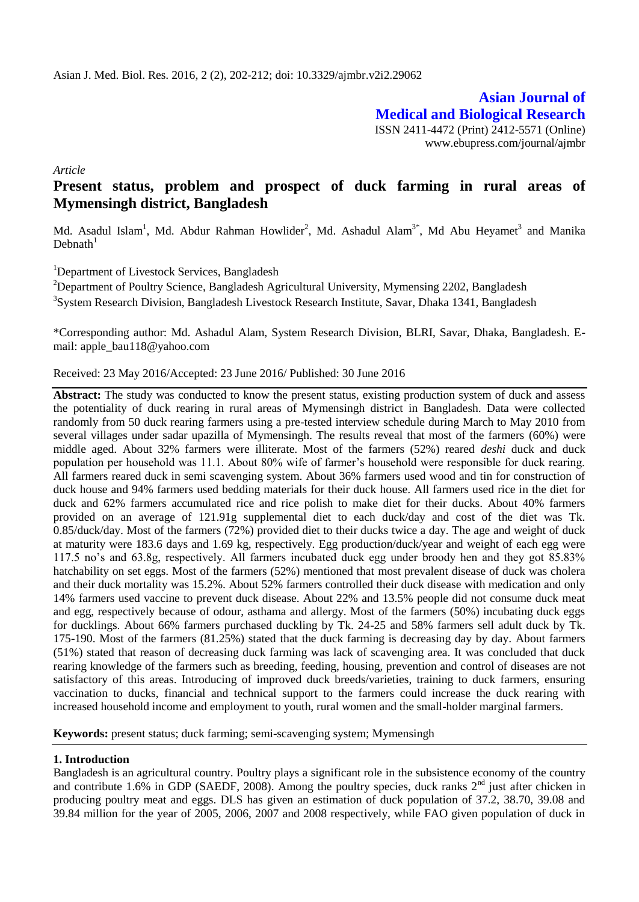**Asian Journal of Medical and Biological Research** ISSN 2411-4472 (Print) 2412-5571 (Online) www.ebupress.com/journal/ajmbr

*Article*

# **Present status, problem and prospect of duck farming in rural areas of Mymensingh district, Bangladesh**

Md. Asadul Islam<sup>1</sup>, Md. Abdur Rahman Howlider<sup>2</sup>, Md. Ashadul Alam<sup>3\*</sup>, Md Abu Heyamet<sup>3</sup> and Manika  $Debnath<sup>1</sup>$ 

<sup>1</sup>Department of Livestock Services, Bangladesh

<sup>2</sup>Department of Poultry Science, Bangladesh Agricultural University, Mymensing 2202, Bangladesh <sup>3</sup>System Research Division, Bangladesh Livestock Research Institute, Savar, Dhaka 1341, Bangladesh

\*Corresponding author: Md. Ashadul Alam, System Research Division, BLRI, Savar, Dhaka, Bangladesh. Email: apple\_bau118@yahoo.com

Received: 23 May 2016/Accepted: 23 June 2016/ Published: 30 June 2016

**Abstract:** The study was conducted to know the present status, existing production system of duck and assess the potentiality of duck rearing in rural areas of Mymensingh district in Bangladesh. Data were collected randomly from 50 duck rearing farmers using a pre-tested interview schedule during March to May 2010 from several villages under sadar upazilla of Mymensingh. The results reveal that most of the farmers (60%) were middle aged. About 32% farmers were illiterate. Most of the farmers (52%) reared *deshi* duck and duck population per household was 11.1. About 80% wife of farmer's household were responsible for duck rearing. All farmers reared duck in semi scavenging system. About 36% farmers used wood and tin for construction of duck house and 94% farmers used bedding materials for their duck house. All farmers used rice in the diet for duck and 62% farmers accumulated rice and rice polish to make diet for their ducks. About 40% farmers provided on an average of 121.91g supplemental diet to each duck/day and cost of the diet was Tk. 0.85/duck/day. Most of the farmers (72%) provided diet to their ducks twice a day. The age and weight of duck at maturity were 183.6 days and 1.69 kg, respectively. Egg production/duck/year and weight of each egg were 117.5 no's and 63.8g, respectively. All farmers incubated duck egg under broody hen and they got 85.83% hatchability on set eggs. Most of the farmers (52%) mentioned that most prevalent disease of duck was cholera and their duck mortality was 15.2%. About 52% farmers controlled their duck disease with medication and only 14% farmers used vaccine to prevent duck disease. About 22% and 13.5% people did not consume duck meat and egg, respectively because of odour, asthama and allergy. Most of the farmers (50%) incubating duck eggs for ducklings. About 66% farmers purchased duckling by Tk. 24-25 and 58% farmers sell adult duck by Tk. 175-190. Most of the farmers (81.25%) stated that the duck farming is decreasing day by day. About farmers (51%) stated that reason of decreasing duck farming was lack of scavenging area. It was concluded that duck rearing knowledge of the farmers such as breeding, feeding, housing, prevention and control of diseases are not satisfactory of this areas. Introducing of improved duck breeds/varieties, training to duck farmers, ensuring vaccination to ducks, financial and technical support to the farmers could increase the duck rearing with increased household income and employment to youth, rural women and the small-holder marginal farmers.

**Keywords:** present status; duck farming; semi-scavenging system; Mymensingh

# **1. Introduction**

Bangladesh is an agricultural country. Poultry plays a significant role in the subsistence economy of the country and contribute 1.6% in GDP (SAEDF, 2008). Among the poultry species, duck ranks  $2<sup>nd</sup>$  just after chicken in producing poultry meat and eggs. DLS has given an estimation of duck population of 37.2, 38.70, 39.08 and 39.84 million for the year of 2005, 2006, 2007 and 2008 respectively, while FAO given population of duck in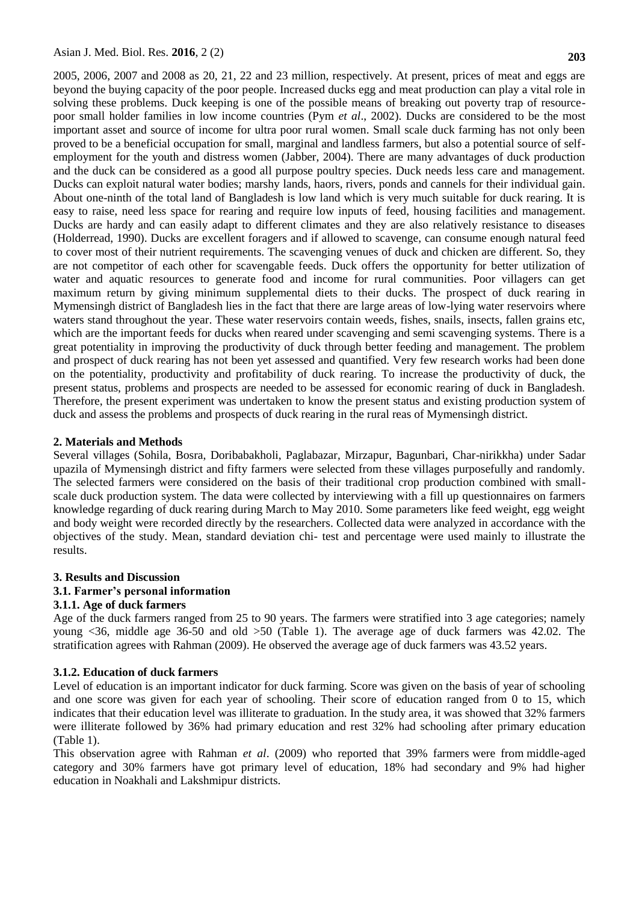2005, 2006, 2007 and 2008 as 20, 21, 22 and 23 million, respectively. At present, prices of meat and eggs are beyond the buying capacity of the poor people. Increased ducks egg and meat production can play a vital role in solving these problems. Duck keeping is one of the possible means of breaking out poverty trap of resourcepoor small holder families in low income countries (Pym *et al*., 2002). Ducks are considered to be the most important asset and source of income for ultra poor rural women. Small scale duck farming has not only been proved to be a beneficial occupation for small, marginal and landless farmers, but also a potential source of selfemployment for the youth and distress women (Jabber, 2004). There are many advantages of duck production and the duck can be considered as a good all purpose poultry species. Duck needs less care and management. Ducks can exploit natural water bodies; marshy lands, haors, rivers, ponds and cannels for their individual gain. About one-ninth of the total land of Bangladesh is low land which is very much suitable for duck rearing. It is easy to raise, need less space for rearing and require low inputs of feed, housing facilities and management. Ducks are hardy and can easily adapt to different climates and they are also relatively resistance to diseases (Holderread, 1990). Ducks are excellent foragers and if allowed to scavenge, can consume enough natural feed to cover most of their nutrient requirements. The scavenging venues of duck and chicken are different. So, they are not competitor of each other for scavengable feeds. Duck offers the opportunity for better utilization of water and aquatic resources to generate food and income for rural communities. Poor villagers can get maximum return by giving minimum supplemental diets to their ducks. The prospect of duck rearing in Mymensingh district of Bangladesh lies in the fact that there are large areas of low-lying water reservoirs where waters stand throughout the year. These water reservoirs contain weeds, fishes, snails, insects, fallen grains etc, which are the important feeds for ducks when reared under scavenging and semi scavenging systems. There is a great potentiality in improving the productivity of duck through better feeding and management. The problem and prospect of duck rearing has not been yet assessed and quantified. Very few research works had been done on the potentiality, productivity and profitability of duck rearing. To increase the productivity of duck, the present status, problems and prospects are needed to be assessed for economic rearing of duck in Bangladesh. Therefore, the present experiment was undertaken to know the present status and existing production system of duck and assess the problems and prospects of duck rearing in the rural reas of Mymensingh district.

#### **2. Materials and Methods**

Several villages (Sohila, Bosra, Doribabakholi, Paglabazar, Mirzapur, Bagunbari, Char-nirikkha) under Sadar upazila of Mymensingh district and fifty farmers were selected from these villages purposefully and randomly. The selected farmers were considered on the basis of their traditional crop production combined with smallscale duck production system. The data were collected by interviewing with a fill up questionnaires on farmers knowledge regarding of duck rearing during March to May 2010. Some parameters like feed weight, egg weight and body weight were recorded directly by the researchers. Collected data were analyzed in accordance with the objectives of the study. Mean, standard deviation chi- test and percentage were used mainly to illustrate the results.

#### **3. Results and Discussion**

#### **3.1. Farmer's personal information**

#### **3.1.1. Age of duck farmers**

Age of the duck farmers ranged from 25 to 90 years. The farmers were stratified into 3 age categories; namely young <36, middle age 36-50 and old >50 (Table 1). The average age of duck farmers was 42.02. The stratification agrees with Rahman (2009). He observed the average age of duck farmers was 43.52 years.

#### **3.1.2. Education of duck farmers**

Level of education is an important indicator for duck farming. Score was given on the basis of year of schooling and one score was given for each year of schooling. Their score of education ranged from 0 to 15, which indicates that their education level was illiterate to graduation. In the study area, it was showed that 32% farmers were illiterate followed by 36% had primary education and rest 32% had schooling after primary education (Table 1).

This observation agree with Rahman *et al*. (2009) who reported that 39% farmers were from middle-aged category and 30% farmers have got primary level of education, 18% had secondary and 9% had higher education in Noakhali and Lakshmipur districts.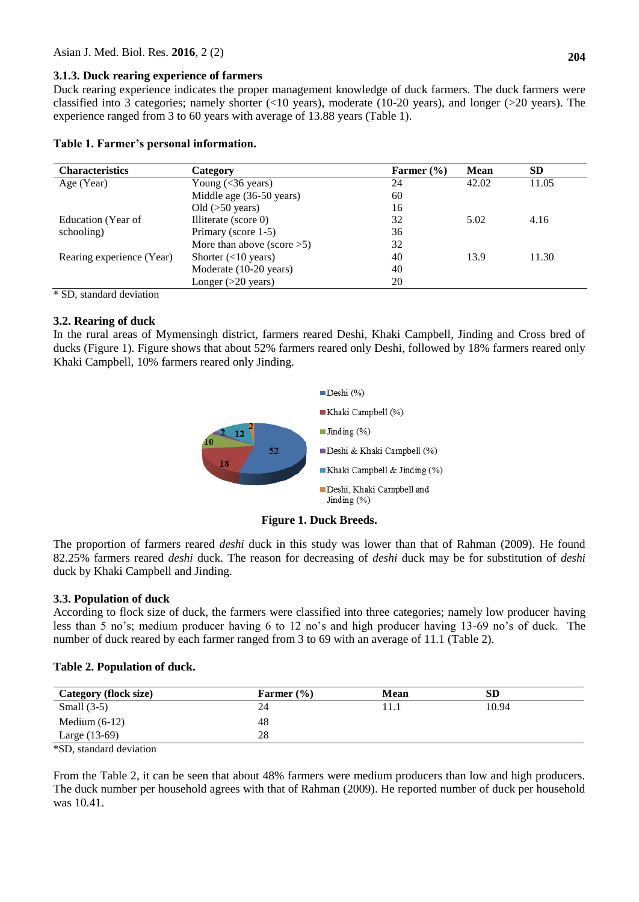### **3.1.3. Duck rearing experience of farmers**

Duck rearing experience indicates the proper management knowledge of duck farmers. The duck farmers were classified into 3 categories; namely shorter (<10 years), moderate (10-20 years), and longer (>20 years). The experience ranged from 3 to 60 years with average of 13.88 years (Table 1).

| Table 1. Farmer's personal information. |  |  |  |
|-----------------------------------------|--|--|--|
|-----------------------------------------|--|--|--|

| <b>Characteristics</b>    | Category                      | Farmer $(\% )$ | <b>Mean</b> | <b>SD</b> |
|---------------------------|-------------------------------|----------------|-------------|-----------|
| Age (Year)                | Young $(<$ 36 years)          | 24             | 42.02       | 11.05     |
|                           | Middle age (36-50 years)      | 60             |             |           |
|                           | Old $(50$ years)              | 16             |             |           |
| Education (Year of        | Illiterate (score 0)          | 32             | 5.02        | 4.16      |
| schooling)                | Primary (score 1-5)           | 36             |             |           |
|                           | More than above (score $>5$ ) | 32             |             |           |
| Rearing experience (Year) | Shorter $(<10$ years)         | 40             | 13.9        | 11.30     |
|                           | Moderate (10-20 years)        | 40             |             |           |
|                           | Longer $(>20$ years)          | 20             |             |           |

\* SD, standard deviation

# **3.2. Rearing of duck**

In the rural areas of Mymensingh district, farmers reared Deshi, Khaki Campbell, Jinding and Cross bred of ducks (Figure 1). Figure shows that about 52% farmers reared only Deshi, followed by 18% farmers reared only Khaki Campbell, 10% farmers reared only Jinding.



**Figure 1. Duck Breeds.**

The proportion of farmers reared *deshi* duck in this study was lower than that of Rahman (2009). He found 82.25% farmers reared *deshi* duck. The reason for decreasing of *deshi* duck may be for substitution of *deshi* duck by Khaki Campbell and Jinding.

# **3.3. Population of duck**

According to flock size of duck, the farmers were classified into three categories; namely low producer having less than 5 no's; medium producer having 6 to 12 no's and high producer having 13-69 no's of duck. The number of duck reared by each farmer ranged from 3 to 69 with an average of 11.1 (Table 2).

# **Table 2. Population of duck.**

| <b>Category (flock size)</b> | Farmer $(\% )$ | Mean | SD    |
|------------------------------|----------------|------|-------|
| Small $(3-5)$                | 24             | .    | 10.94 |
| Medium $(6-12)$              | 48             |      |       |
| Large (13-69)                | 28             |      |       |

\*SD, standard deviation

From the Table 2, it can be seen that about 48% farmers were medium producers than low and high producers. The duck number per household agrees with that of Rahman (2009). He reported number of duck per household was 10.41.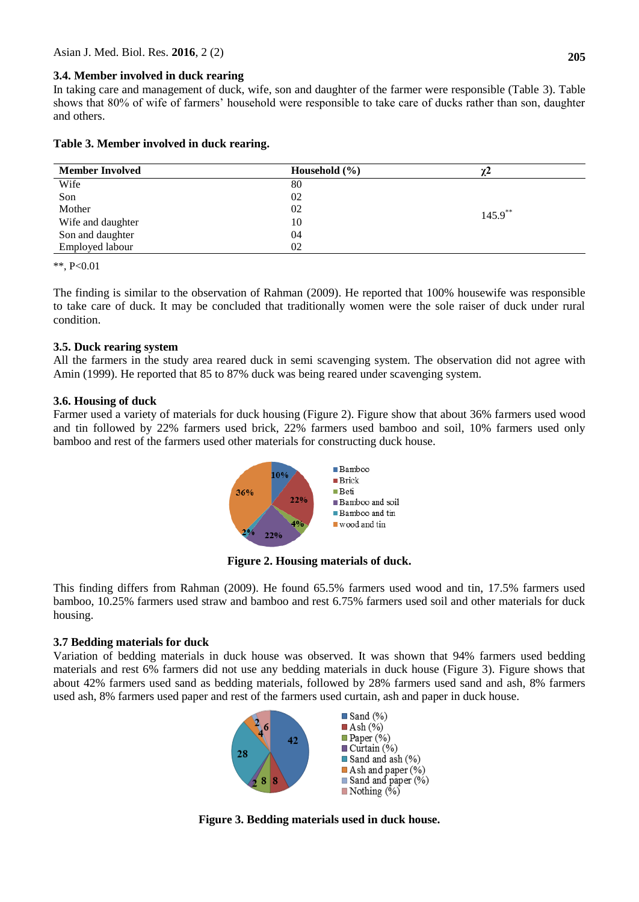# **3.4. Member involved in duck rearing**

In taking care and management of duck, wife, son and daughter of the farmer were responsible (Table 3). Table shows that 80% of wife of farmers' household were responsible to take care of ducks rather than son, daughter and others.

# **Table 3. Member involved in duck rearing.**

| <b>Member Involved</b> | Household $(\% )$ | $\gamma$ 2 |  |
|------------------------|-------------------|------------|--|
| Wife                   | 80                |            |  |
| Son                    | 02                |            |  |
| Mother                 | 02                | $145.9***$ |  |
| Wife and daughter      | 10                |            |  |
| Son and daughter       | 04                |            |  |
| Employed labour        | 02                |            |  |

\*\*, P<0.01

The finding is similar to the observation of Rahman (2009). He reported that 100% housewife was responsible to take care of duck. It may be concluded that traditionally women were the sole raiser of duck under rural condition.

### **3.5. Duck rearing system**

All the farmers in the study area reared duck in semi scavenging system. The observation did not agree with Amin (1999). He reported that 85 to 87% duck was being reared under scavenging system.

### **3.6. Housing of duck**

Farmer used a variety of materials for duck housing (Figure 2). Figure show that about 36% farmers used wood and tin followed by 22% farmers used brick, 22% farmers used bamboo and soil, 10% farmers used only bamboo and rest of the farmers used other materials for constructing duck house.



**Figure 2. Housing materials of duck.**

This finding differs from Rahman (2009). He found 65.5% farmers used wood and tin, 17.5% farmers used bamboo, 10.25% farmers used straw and bamboo and rest 6.75% farmers used soil and other materials for duck housing.

# **3.7 Bedding materials for duck**

Variation of bedding materials in duck house was observed. It was shown that 94% farmers used bedding materials and rest 6% farmers did not use any bedding materials in duck house (Figure 3). Figure shows that about 42% farmers used sand as bedding materials, followed by 28% farmers used sand and ash, 8% farmers used ash, 8% farmers used paper and rest of the farmers used curtain, ash and paper in duck house.



**Figure 3. Bedding materials used in duck house.**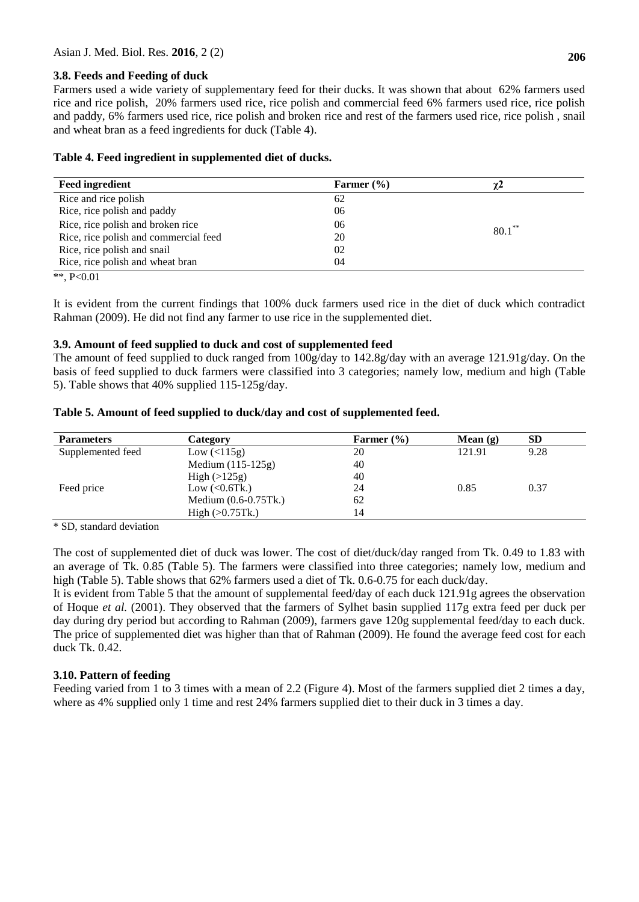# **3.8. Feeds and Feeding of duck**

Farmers used a wide variety of supplementary feed for their ducks. It was shown that about 62% farmers used rice and rice polish, 20% farmers used rice, rice polish and commercial feed 6% farmers used rice, rice polish and paddy, 6% farmers used rice, rice polish and broken rice and rest of the farmers used rice, rice polish , snail and wheat bran as a feed ingredients for duck (Table 4).

# **Table 4. Feed ingredient in supplemented diet of ducks.**

| <b>Feed ingredient</b>                | Farmer $(\% )$ | χΖ        |
|---------------------------------------|----------------|-----------|
| Rice and rice polish                  | 62             |           |
| Rice, rice polish and paddy           | 06             |           |
| Rice, rice polish and broken rice     | 06             | $80.1***$ |
| Rice, rice polish and commercial feed | 20             |           |
| Rice, rice polish and snail           | 02             |           |
| Rice, rice polish and wheat bran      | 04             |           |

\*\*, P<0.01

It is evident from the current findings that 100% duck farmers used rice in the diet of duck which contradict Rahman (2009). He did not find any farmer to use rice in the supplemented diet.

# **3.9. Amount of feed supplied to duck and cost of supplemented feed**

The amount of feed supplied to duck ranged from 100g/day to 142.8g/day with an average 121.91g/day. On the basis of feed supplied to duck farmers were classified into 3 categories; namely low, medium and high (Table 5). Table shows that 40% supplied 115-125g/day.

### **Table 5. Amount of feed supplied to duck/day and cost of supplemented feed.**

| <b>Parameters</b> | Category             | Farmer $(\% )$ | Mean $(g)$ | <b>SD</b> |
|-------------------|----------------------|----------------|------------|-----------|
| Supplemented feed | Low (<115g)          | 20             | 121.91     | 9.28      |
|                   | Medium $(115-125g)$  | 40             |            |           |
|                   | High $(>125g)$       | 40             |            |           |
| Feed price        | Low $(<0.6$ Tk.)     | 24             | 0.85       | 0.37      |
|                   | Medium (0.6-0.75Tk.) | 62             |            |           |
|                   | High (>0.75Tk.)      | 14             |            |           |

\* SD, standard deviation

The cost of supplemented diet of duck was lower. The cost of diet/duck/day ranged from Tk. 0.49 to 1.83 with an average of Tk. 0.85 (Table 5). The farmers were classified into three categories; namely low, medium and high (Table 5). Table shows that 62% farmers used a diet of Tk. 0.6-0.75 for each duck/day.

It is evident from Table 5 that the amount of supplemental feed/day of each duck 121.91g agrees the observation of Hoque *et al.* (2001). They observed that the farmers of Sylhet basin supplied 117g extra feed per duck per day during dry period but according to Rahman (2009), farmers gave 120g supplemental feed/day to each duck. The price of supplemented diet was higher than that of Rahman (2009). He found the average feed cost for each duck Tk. 0.42.

# **3.10. Pattern of feeding**

Feeding varied from 1 to 3 times with a mean of 2.2 (Figure 4). Most of the farmers supplied diet 2 times a day, where as 4% supplied only 1 time and rest 24% farmers supplied diet to their duck in 3 times a day.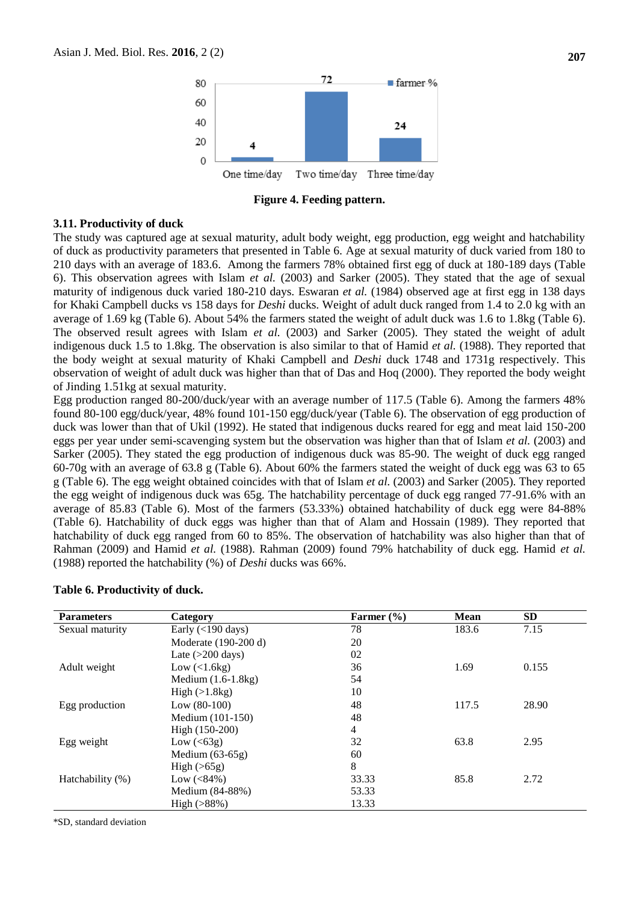

**Figure 4. Feeding pattern.**

#### **3.11. Productivity of duck**

The study was captured age at sexual maturity, adult body weight, egg production, egg weight and hatchability of duck as productivity parameters that presented in Table 6. Age at sexual maturity of duck varied from 180 to 210 days with an average of 183.6. Among the farmers 78% obtained first egg of duck at 180-189 days (Table 6). This observation agrees with Islam *et al.* (2003) and Sarker (2005). They stated that the age of sexual maturity of indigenous duck varied 180-210 days. Eswaran *et al.* (1984) observed age at first egg in 138 days for Khaki Campbell ducks vs 158 days for *Deshi* ducks. Weight of adult duck ranged from 1.4 to 2.0 kg with an average of 1.69 kg (Table 6). About 54% the farmers stated the weight of adult duck was 1.6 to 1.8kg (Table 6). The observed result agrees with Islam *et al.* (2003) and Sarker (2005). They stated the weight of adult indigenous duck 1.5 to 1.8kg. The observation is also similar to that of Hamid *et al.* (1988). They reported that the body weight at sexual maturity of Khaki Campbell and *Deshi* duck 1748 and 1731g respectively. This observation of weight of adult duck was higher than that of Das and Hoq (2000). They reported the body weight of Jinding 1.51kg at sexual maturity.

Egg production ranged 80-200/duck/year with an average number of 117.5 (Table 6). Among the farmers 48% found 80-100 egg/duck/year, 48% found 101-150 egg/duck/year (Table 6). The observation of egg production of duck was lower than that of Ukil (1992). He stated that indigenous ducks reared for egg and meat laid 150-200 eggs per year under semi-scavenging system but the observation was higher than that of Islam *et al.* (2003) and Sarker (2005). They stated the egg production of indigenous duck was 85-90. The weight of duck egg ranged 60-70g with an average of 63.8 g (Table 6). About 60% the farmers stated the weight of duck egg was 63 to 65 g (Table 6). The egg weight obtained coincides with that of Islam *et al.* (2003) and Sarker (2005). They reported the egg weight of indigenous duck was 65g. The hatchability percentage of duck egg ranged 77-91.6% with an average of 85.83 (Table 6). Most of the farmers (53.33%) obtained hatchability of duck egg were 84-88% (Table 6). Hatchability of duck eggs was higher than that of Alam and Hossain (1989). They reported that hatchability of duck egg ranged from 60 to 85%. The observation of hatchability was also higher than that of Rahman (2009) and Hamid *et al.* (1988). Rahman (2009) found 79% hatchability of duck egg. Hamid *et al.* (1988) reported the hatchability (%) of *Deshi* ducks was 66%.

| <b>Parameters</b>   | Category                        | Farmer $(\% )$ | <b>Mean</b> | <b>SD</b> |
|---------------------|---------------------------------|----------------|-------------|-----------|
| Sexual maturity     | Early $(<$ 190 days)            | 78             | 183.6       | 7.15      |
|                     | Moderate (190-200 d)            | 20             |             |           |
|                     | Late $(>200 \text{ days})$      | 02             |             |           |
| Adult weight        | Low $\left($ < 1.6 kg $\right)$ | 36             | 1.69        | 0.155     |
|                     | Medium $(1.6-1.8kg)$            | 54             |             |           |
|                     | High (>1.8kg)                   | 10             |             |           |
| Egg production      | Low $(80-100)$                  | 48             | 117.5       | 28.90     |
|                     | Medium (101-150)                | 48             |             |           |
|                     | High (150-200)                  | 4              |             |           |
| Egg weight          | Low $(63g)$                     | 32             | 63.8        | 2.95      |
|                     | Medium $(63-65g)$               | 60             |             |           |
|                     | High $(>65g)$                   | 8              |             |           |
| Hatchability $(\%)$ | Low $(<84\%)$                   | 33.33          | 85.8        | 2.72      |
|                     | Medium (84-88%)                 | 53.33          |             |           |
|                     | $High (>88\%)$                  | 13.33          |             |           |

#### **Table 6. Productivity of duck.**

\*SD, standard deviation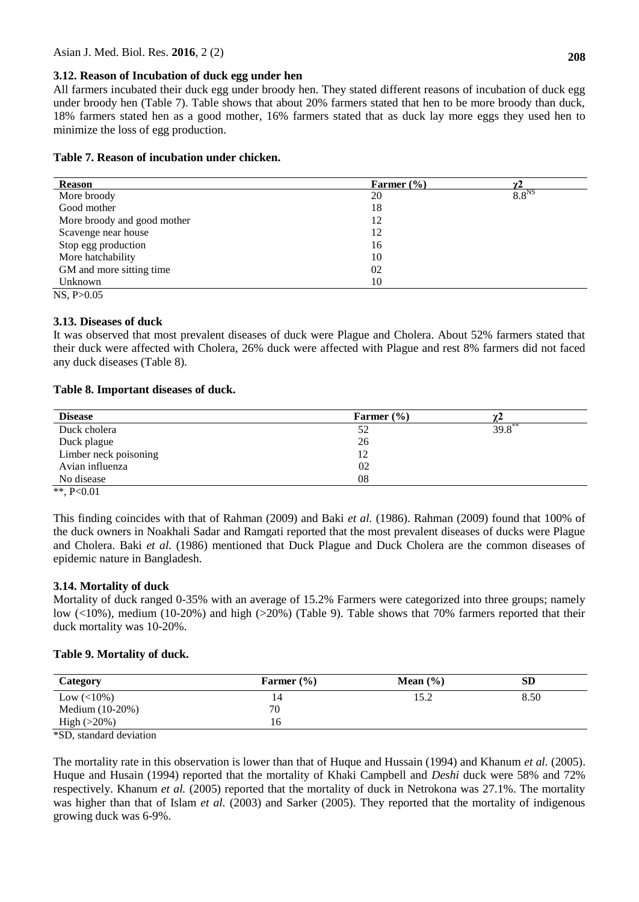# **3.12. Reason of Incubation of duck egg under hen**

All farmers incubated their duck egg under broody hen. They stated different reasons of incubation of duck egg under broody hen (Table 7). Table shows that about 20% farmers stated that hen to be more broody than duck, 18% farmers stated hen as a good mother, 16% farmers stated that as duck lay more eggs they used hen to minimize the loss of egg production.

# **Table 7. Reason of incubation under chicken.**

| <b>Reason</b>               | Farmer $(\% )$ |                   |
|-----------------------------|----------------|-------------------|
| More broody                 | 20             | 8.8 <sup>NS</sup> |
| Good mother                 | 18             |                   |
| More broody and good mother | 12             |                   |
| Scavenge near house         | 12             |                   |
| Stop egg production         | 16             |                   |
| More hatchability           | 10             |                   |
| GM and more sitting time    | 02             |                   |
| Unknown                     | 10             |                   |
| NS. P > 0.05                |                |                   |

# **3.13. Diseases of duck**

It was observed that most prevalent diseases of duck were Plague and Cholera. About 52% farmers stated that their duck were affected with Cholera, 26% duck were affected with Plague and rest 8% farmers did not faced any duck diseases (Table 8).

# **Table 8. Important diseases of duck.**

| Farmer $(\% )$ |           |
|----------------|-----------|
| 52             | $39.8$ ** |
| 26             |           |
| 12             |           |
| 02             |           |
| 08             |           |
|                |           |

\*\*, P<0.01

This finding coincides with that of Rahman (2009) and Baki *et al.* (1986). Rahman (2009) found that 100% of the duck owners in Noakhali Sadar and Ramgati reported that the most prevalent diseases of ducks were Plague and Cholera. Baki *et al.* (1986) mentioned that Duck Plague and Duck Cholera are the common diseases of epidemic nature in Bangladesh.

# **3.14. Mortality of duck**

Mortality of duck ranged 0-35% with an average of 15.2% Farmers were categorized into three groups; namely low (<10%), medium (10-20%) and high (>20%) (Table 9). Table shows that 70% farmers reported that their duck mortality was 10-20%.

# **Table 9. Mortality of duck.**

| Category          | Farmer $(\% )$ | Mean $(\% )$ | <b>SD</b> |
|-------------------|----------------|--------------|-----------|
| $Low (< 10\%)$    | 14             | 15.2         | 8.50      |
| Medium $(10-20%)$ | 70             |              |           |
| High $(>20\%)$    | 16             |              |           |

\*SD, standard deviation

The mortality rate in this observation is lower than that of Huque and Hussain (1994) and Khanum *et al.* (2005). Huque and Husain (1994) reported that the mortality of Khaki Campbell and *Deshi* duck were 58% and 72% respectively. Khanum *et al.* (2005) reported that the mortality of duck in Netrokona was 27.1%. The mortality was higher than that of Islam *et al.* (2003) and Sarker (2005). They reported that the mortality of indigenous growing duck was 6-9%.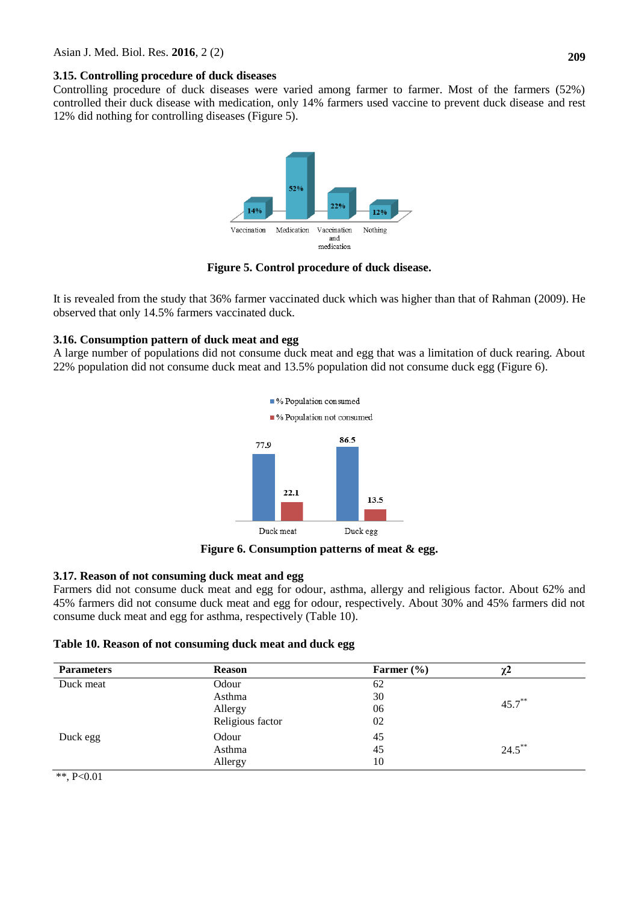# **3.15. Controlling procedure of duck diseases**

Controlling procedure of duck diseases were varied among farmer to farmer. Most of the farmers (52%) controlled their duck disease with medication, only 14% farmers used vaccine to prevent duck disease and rest 12% did nothing for controlling diseases (Figure 5).



**Figure 5. Control procedure of duck disease.**

It is revealed from the study that 36% farmer vaccinated duck which was higher than that of Rahman (2009). He observed that only 14.5% farmers vaccinated duck.

# **3.16. Consumption pattern of duck meat and egg**

A large number of populations did not consume duck meat and egg that was a limitation of duck rearing. About 22% population did not consume duck meat and 13.5% population did not consume duck egg (Figure 6).



**Figure 6. Consumption patterns of meat & egg.**

# **3.17. Reason of not consuming duck meat and egg**

Farmers did not consume duck meat and egg for odour, asthma, allergy and religious factor. About 62% and 45% farmers did not consume duck meat and egg for odour, respectively. About 30% and 45% farmers did not consume duck meat and egg for asthma, respectively (Table 10).

# **Table 10. Reason of not consuming duck meat and duck egg**

| <b>Parameters</b> | <b>Reason</b>    | Farmer $(\% )$ | $\chi^2$  |
|-------------------|------------------|----------------|-----------|
| Duck meat         | Odour            | 62             |           |
|                   | Asthma           | 30             |           |
|                   | Allergy          | 06             | $45.7***$ |
|                   | Religious factor | 02             |           |
| Duck egg          | Odour            | 45             |           |
|                   | Asthma           | 45             | $24.5$ ** |
|                   | Allergy          | 10             |           |
| **, $P<0.01$      |                  |                |           |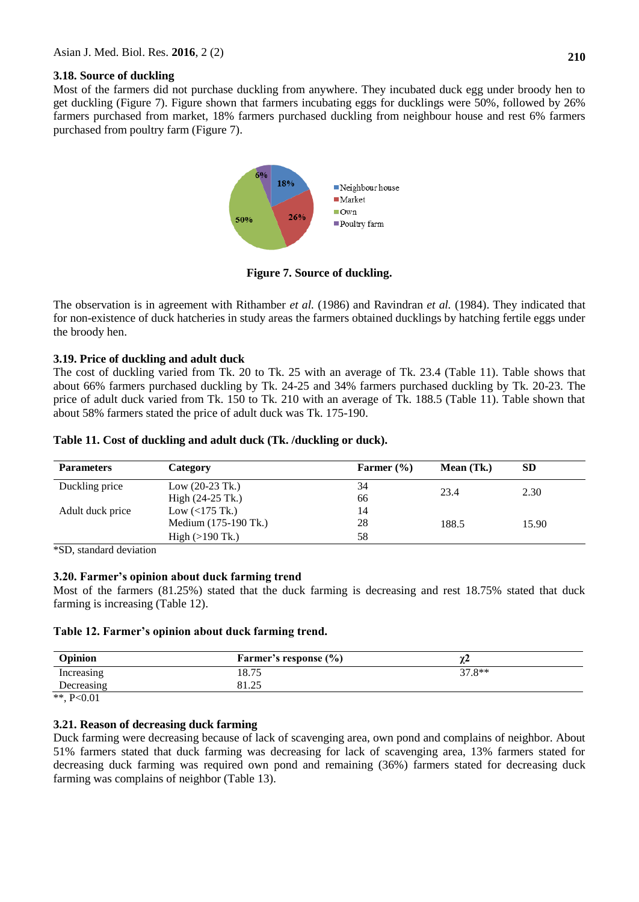### **3.18. Source of duckling**

Most of the farmers did not purchase duckling from anywhere. They incubated duck egg under broody hen to get duckling (Figure 7). Figure shown that farmers incubating eggs for ducklings were 50%, followed by 26% farmers purchased from market, 18% farmers purchased duckling from neighbour house and rest 6% farmers purchased from poultry farm (Figure 7).



**Figure 7. Source of duckling.**

The observation is in agreement with Rithamber *et al.* (1986) and Ravindran *et al.* (1984). They indicated that for non-existence of duck hatcheries in study areas the farmers obtained ducklings by hatching fertile eggs under the broody hen.

# **3.19. Price of duckling and adult duck**

The cost of duckling varied from Tk. 20 to Tk. 25 with an average of Tk. 23.4 (Table 11). Table shows that about 66% farmers purchased duckling by Tk. 24-25 and 34% farmers purchased duckling by Tk. 20-23. The price of adult duck varied from Tk. 150 to Tk. 210 with an average of Tk. 188.5 (Table 11). Table shown that about 58% farmers stated the price of adult duck was Tk. 175-190.

| Table 11. Cost of duckling and adult duck (Tk. /duckling or duck). |  |  |
|--------------------------------------------------------------------|--|--|
|                                                                    |  |  |

| <b>Parameters</b> | Category                  | Farmer $(\% )$ | Mean $(Tk)$ | <b>SD</b> |
|-------------------|---------------------------|----------------|-------------|-----------|
| Duckling price    | Low $(20-23)$ Tk.)        | 34             | 23.4        | 2.30      |
|                   | High $(24-25)$ Tk.)       | 66             |             |           |
| Adult duck price  | Low $($ 175 Tk.)          | 14             |             |           |
|                   | Medium (175-190 Tk.)      | 28             | 188.5       | 15.90     |
|                   | High $(>190 \text{ Tk.})$ | 58             |             |           |

\*SD, standard deviation

# **3.20. Farmer's opinion about duck farming trend**

Most of the farmers (81.25%) stated that the duck farming is decreasing and rest 18.75% stated that duck farming is increasing (Table 12).

# **Table 12. Farmer's opinion about duck farming trend.**

| Opinion    | <b>Farmer's response (%)</b> | . .      |
|------------|------------------------------|----------|
| Increasing | 18.75                        | $37.8**$ |
| Decreasing | 81.25                        |          |

\*\*,  $P < 0.01$ 

# **3.21. Reason of decreasing duck farming**

Duck farming were decreasing because of lack of scavenging area, own pond and complains of neighbor. About 51% farmers stated that duck farming was decreasing for lack of scavenging area, 13% farmers stated for decreasing duck farming was required own pond and remaining (36%) farmers stated for decreasing duck farming was complains of neighbor (Table 13).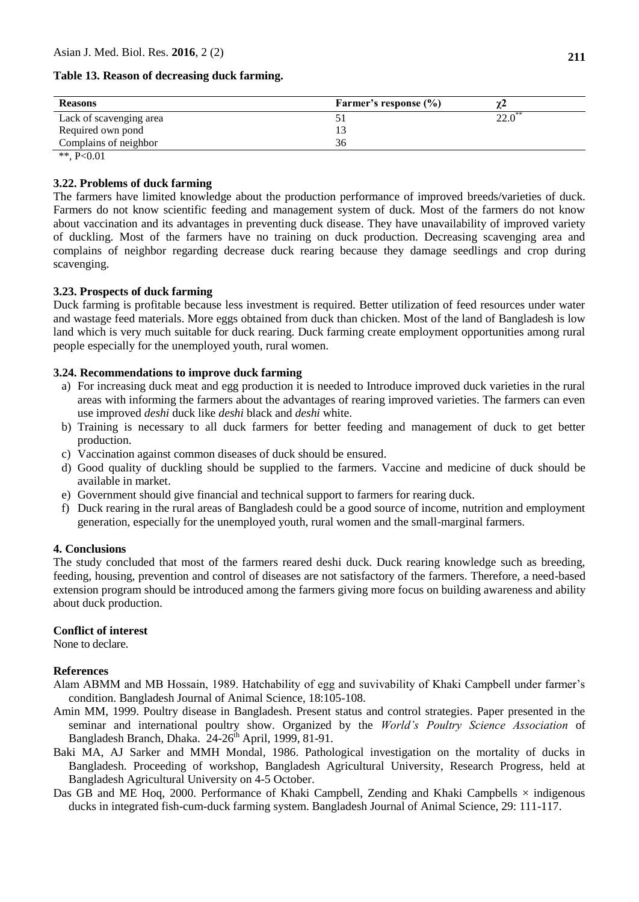#### **Table 13. Reason of decreasing duck farming.**

| <b>Reasons</b>          | Farmer's response $(\% )$ |  |
|-------------------------|---------------------------|--|
| Lack of scavenging area |                           |  |
| Required own pond       | 13                        |  |
| Complains of neighbor   | 36                        |  |
| 44.7.0.01               |                           |  |

\*\*,  $P < 0.01$ 

#### **3.22. Problems of duck farming**

The farmers have limited knowledge about the production performance of improved breeds/varieties of duck. Farmers do not know scientific feeding and management system of duck. Most of the farmers do not know about vaccination and its advantages in preventing duck disease. They have unavailability of improved variety of duckling. Most of the farmers have no training on duck production. Decreasing scavenging area and complains of neighbor regarding decrease duck rearing because they damage seedlings and crop during scavenging.

### **3.23. Prospects of duck farming**

Duck farming is profitable because less investment is required. Better utilization of feed resources under water and wastage feed materials. More eggs obtained from duck than chicken. Most of the land of Bangladesh is low land which is very much suitable for duck rearing. Duck farming create employment opportunities among rural people especially for the unemployed youth, rural women.

### **3.24. Recommendations to improve duck farming**

- a) For increasing duck meat and egg production it is needed to Introduce improved duck varieties in the rural areas with informing the farmers about the advantages of rearing improved varieties. The farmers can even use improved *deshi* duck like *deshi* black and *deshi* white.
- b) Training is necessary to all duck farmers for better feeding and management of duck to get better production.
- c) Vaccination against common diseases of duck should be ensured.
- d) Good quality of duckling should be supplied to the farmers. Vaccine and medicine of duck should be available in market.
- e) Government should give financial and technical support to farmers for rearing duck.
- f) Duck rearing in the rural areas of Bangladesh could be a good source of income, nutrition and employment generation, especially for the unemployed youth, rural women and the small-marginal farmers.

#### **4. Conclusions**

The study concluded that most of the farmers reared deshi duck. Duck rearing knowledge such as breeding, feeding, housing, prevention and control of diseases are not satisfactory of the farmers. Therefore, a need-based extension program should be introduced among the farmers giving more focus on building awareness and ability about duck production.

### **Conflict of interest**

None to declare.

#### **References**

- Alam ABMM and MB Hossain, 1989. Hatchability of egg and suvivability of Khaki Campbell under farmer's condition. Bangladesh Journal of Animal Science, 18:105-108.
- Amin MM, 1999. Poultry disease in Bangladesh. Present status and control strategies. Paper presented in the seminar and international poultry show. Organized by the *World's Poultry Science Association* of Bangladesh Branch, Dhaka.  $24-26^{\text{th}}$  April, 1999, 81-91.
- Baki MA, AJ Sarker and MMH Mondal, 1986. Pathological investigation on the mortality of ducks in Bangladesh. Proceeding of workshop, Bangladesh Agricultural University, Research Progress, held at Bangladesh Agricultural University on 4-5 October.
- Das GB and ME Hoq, 2000. Performance of Khaki Campbell, Zending and Khaki Campbells  $\times$  indigenous ducks in integrated fish-cum-duck farming system. Bangladesh Journal of Animal Science, 29: 111-117.